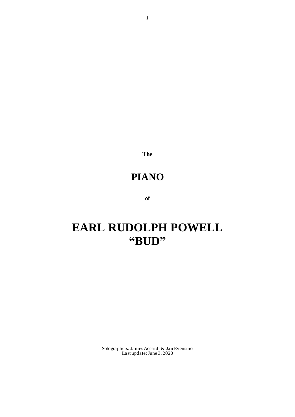**The**

# **PIANO**

**of**

# **EARL RUDOLPH POWELL "BUD"**

Solographers: James Accardi & Jan Evensmo Last update: June 3, 2020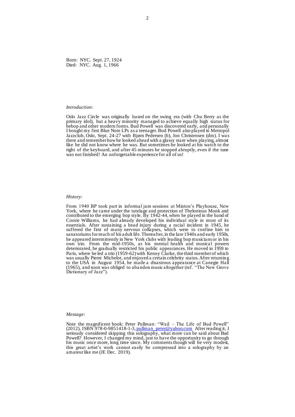Born: NYC. Sept. 27, 1924 Died: NYC. Aug. 1, 1966

#### *Introduction:*

Oslo Jazz Circle was originally based on the swing era (with Chu Berry as the primary idol), but a heavy minority managed to achieve equally high status for bebop and other modern forms. Bud Powell was discovered early, and personally I bought my first Blue Note LPs as a teenager.Bud Powell also played in Metropol Jazzclub, Oslo, Sept. 24-27 with Bjørn Pedersen (b), Jon Christensen (dm). I was there and remember how he looked ahead with a glassy stare when playing, almost like he did not know where he was. But sometimes he looked at his watch to the right of the keyboard, and after 45 minutes he stopped abruptly, even if the tune was not finished! An unforgettable experience for all of us!

#### *History:*

From 1940 BP took part in informal jam sessions at Minton's Playhouse, New York, where he came under the tutelage and protection of Thelonious Monk and contributed to the emerging bop style. By 1942-44, when he played in the band of Cootie Williams, he had already developed his individual style in most of its essentials. After sustaining a head injury during a racial incident in 1945, he suffered the first of many nervous collapses, which were to confine him to sanatoriums for much of his adult life. Thereafter, in the late 1940s and early 1950s, he appeared intermittently in New York clubs with leading bop musicians or in his own trio. From the mid-1950s, as his mental health and musical powers deteriorated, he gradually restricted his public appearances. He moved in 1959 to Paris, where he led a trio (1959-62) with Kenny Clarke, the third member of which was usually Pierre Michelot, and enjoyed a certain celebrity status. After returning to the USA in August 1954, he made a disastrous appearance at Canegie Hall (1965), and soon was obliged to aba ndon music altogether (ref. "The New Grove Dictionary of Jazz").

#### *Message:*

Note the magnificent book: Peter Pullman: "Wail – The Life of Bud Powell" (2012), ISBN 978-0-9851418-1-3, pullman\_peter@yahoo.com After reading it, I seriously considered skipping this solography, what more can be said about Bud Powell? However, I changed my mind, just to have the opportunity to go through his music once more, long time since. My comments though will be very modest, this great artist's work cannot easily be compressed into a solography by an amateur like me (JE Dec. 2019).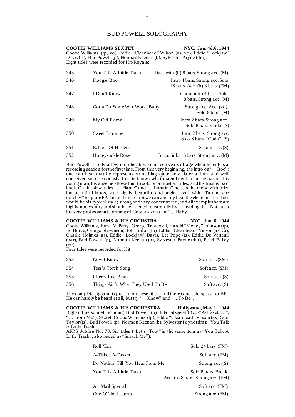### BUD POWELL SOLOGRAPHY

|     | <b>COOTIE WILLIAMS SEXTET</b><br>Davis (ts), Bud Powell (p), Norman Keenan (b), Sylvester Payne (dm).<br>Eight titles were recorded for Hit/Royale: | NYC. Jan. 4&6, 1944<br>Cootie Williams (tp, vo), Eddie "Cleanhead" Wilson (as, vo), Eddie "Lockjaw" |
|-----|-----------------------------------------------------------------------------------------------------------------------------------------------------|-----------------------------------------------------------------------------------------------------|
| 345 | You Talk A Little Trash                                                                                                                             | Duet with (b) $8 \text{ bars.}$ Strong acc. (M)                                                     |
| 346 | Floogie Boo                                                                                                                                         | Intro 4 bars. Strong acc. Solo<br>16 bars. Acc. (b) 8 bars. (FM)                                    |
| 347 | I Don't Know                                                                                                                                        | Chord intro 4 bars. Solo<br>8 bars. Strong acc. (M)                                                 |
| 348 | Gotta Do Some War Work, Baby                                                                                                                        | Strong acc. Acc. (vo).<br>Solo $8 \text{ bars.} (M)$                                                |
| 349 | My Old Flame                                                                                                                                        | Intro 2 bars. Strong acc.<br>Solo 8 bars. Coda. (S)                                                 |
| 350 | Sweet Lorraine                                                                                                                                      | Intro 2 bars. Strong acc.<br>Solo 8 bars. "Coda". (S)                                               |
| 351 | Echoes Of Harlem                                                                                                                                    | Strong $acc(S)$                                                                                     |
| 352 | Honeysuckle Rose                                                                                                                                    | Intro. Solo 16 bars. Strong acc. $(M)$                                                              |

Bud Powell is only a few months above nineteen years of age when he enters a recording session for the first time. From this very beginning, the intro on "... Boo"; one can hear that he represents something quite new, later a firm and well conceived solo. Obviously Cootie knows what magnificent talent he has in this young man, because he allows him to solo on almost all titles, and his trust is paid back. On the slow titles "... Flame" and "... Lorraine" he sets the mood with brief but beautiful intros, later highly beautiful and original soli with "Tatumesque touches" to quote PP. In medium tempi we can already hear the elements that later would be his typical style; strong and very concentrated, and all examples here are highly noteworthy and should be listened to carefully by all reading this. Note also his very professional comping of Cootie's vocal on "... Baby".

# **COOTIE WILLIAMS & HIS ORCHSTRA NYC. Jan. 6, 1944**

Cootie Williams, Ermit V. Perry, George Treadwell, Harold "Money" Johnson (tp), Ed Burke, George Stevenson, Bob Horton (tb), Eddie "Cleanhead" Vinson (as, vo), Charlie Holmes (as), Eddie "Lockjaw" Davis, Lee Pope (ts), Eddie De Verteuil (bar), Bud Powell (p), Norman Keenan (b), Sylvester Payne (dm), Pearl Bailey (vo).

Four titles were recorded for Hit:

| 353 | Now I Know                        | Soft acc. (SM)  |
|-----|-----------------------------------|-----------------|
| 354 | Tess's Torch Song                 | Soft acc. (SM)  |
| 355 | Cherry Red Blues                  | Soft acc. $(S)$ |
| 356 | Things Ain't What They Used To Be | Soft acc. $(S)$ |

The complete bigband is present on these titles, and there is no solo space for BP. He can hardly be heard at all, but try "... Know" and "... To Be".

**COOTIE WILLIAMS & HIS ORCHESTRA Hollywood, May 1, 1944** Bigband personnel including Bud Powell (p), Ella Fitzgerald (vo-"A-Tisket …", "... From Me"). Sextet: Cootie Williams (tp), Eddie "Cleanhead" Vinson (as), Sam Taylor (ts), Bud Powell (p), Norman Keenan (b), Sylvester Payne (dm): "You Talk A Little Trash".

AFRS Jubilee No. 78. Six titles ("Let's Toot" is the same item as "You Talk A Little Trash", also issued as "Smack Me"):

| Roll 'Em                         | Solo 24 bars. $(FM)$                                     |
|----------------------------------|----------------------------------------------------------|
| A-Tisket A-Tasket                | Soft acc. (FM)                                           |
| Do Nothin' Till You Hear From Me | Strong $acc.(S)$                                         |
| You Talk A Little Trash          | Solo 8 bars. Break.<br>Acc. (b) 8 bars. Strong acc. (FM) |
| Air Mail Special                 | Soft acc. (FM)                                           |
| One O'Clock Jump                 | Strong acc. $(FM)$                                       |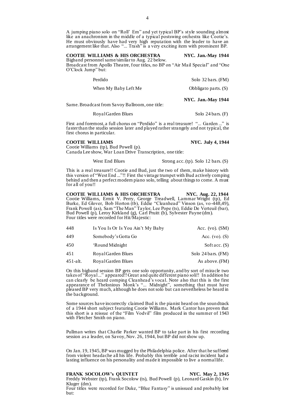A jumping piano solo on "Roll' Em" and yet typical BP's style sounding almost like an anachronism in the middle of a typical postswing orchestra like Cootie's. He must obviously have had very high reputation with the leader to have an arrangement like that. Also "... Trash" is a very exciting item with prominent BP.

### **COOTIE WILLIAMS & HIS ORCHESTRA NYC. Jan.-May 1944**

Bigband personnel same/similar to Aug. 22 below. Broadcast from Apollo Theatre, four titles, no BP on "Air Mail Special" and "One O'Clock Jump" but:

| Same. Broadcast from Savoy Ballroom, one title: | NYC. Jan.-May 1944           |
|-------------------------------------------------|------------------------------|
| When My Baby Left Me                            | Obbligato parts. $(S)$       |
| Perdido                                         | Solo $32 \text{ bars.}$ (FM) |

Royal Garden Blues Solo 24 bars. (F)

First and foremost, a full chorus on "Perdido" is a real treasure! "... Garden ..." is faster than the studio session later and played rather strangely and not typical, the first chorus in particular.

### **COOTIE WILLIAMS NYC. July 4, 1944**

Cootie Williams (tp), Bud Powell (p). Canada Lee show, War Loan Drive Transcription, one title:

West End Blues Strong acc. (tp). Solo 12 bars. (S)

This is a real treasure!! Cootie and Bud, just the two of them, make history with this version of "West End ..."!! First the vintage trumpet with Bud actively comping behind and then a perfect modern piano solo, telling about things to come. A must for all of you!!

**COOTIE WILLIAMS & HIS ORCHESTRA NYC. Aug. 22, 1944** Cootie Williams, Ermit V. Perry, George Treadwell, Lammar Wright (tp), Ed Burke, Ed Glover, Bob Horton (tb), Eddie "Cleanhead" Vinson (as, vo-448,49), Frank Powell (as), Sam "The Man" Taylor, Lee Pope (ts), Eddie De Verteuil (bar), Bud Powell (p), Leroy Kirkland (g), Carl Pruitt (b), Sylvester Payne (dm). Four titles were recorded for Hit/Majestic:

| 448         | Is You Is Or Is You Ain't My Baby | Acc. $(vo)$ . $(SM)$         |
|-------------|-----------------------------------|------------------------------|
| 449         | Somebody's Gotta Go               | Acc. $(v_0)$ . $(S)$         |
| 450         | 'Round Midnight                   | Soft acc. $(S)$              |
| 451         | Royal Garden Blues                | Solo $24 \text{ bars.}$ (FM) |
| $451$ -alt. | Royal Garden Blues                | As above. (FM)               |

On this bigband session BP gets one solo opportunity, and by sort of miracle two takes of "Royal ..." appeared!! Great and quite different piano soli!! In addition he can clearly be heard comping Cleanhead's vocal. Note also that this is the first appearance of Thelonious Monk's "... Midnight", something that must have pleased BP very much, although he does not solo but can nevertheless be heard in the background.

Some sources have incorrectly claimed Bud is the pianist heard on the soundtrack of a 1944 short subject featuring Cootie Williams. Mark Cantor has proven that this short is a reissue of the "Film Vodvil" film produced in the summer of 1943 with Fletcher Smith on piano.

Pullman writes that Charlie Parker wanted BP to take part in his first recording session as a leader, on Savoy, Nov. 26, 1944, but BP did not show up.

On Jan. 19, 1945, BP was mugged by the Philadelphia police. After that he suffered from violent headache all his life. Probably this terrible and racist incident had a lasting influence on his personality and made it impossible to live a normal life.

**FRANK SOCOLOW'S QUINTET NYC. May 2, 1945** Freddy Webster (tp), Frank Socolow (ts), Bud Powell (p), Leonard Gaskin (b), Irv Kluger (dm).

Four titles were recorded for Duke, "Blue Fantasy" is unissued and probably lost but: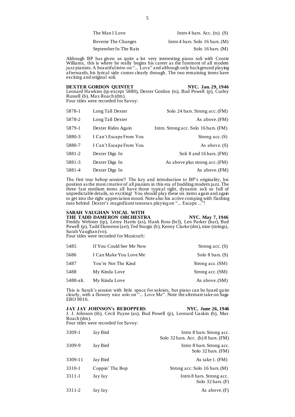| The Man I Love             | Intro 4 bars. Acc. $(ts)$ . $(S)$ |
|----------------------------|-----------------------------------|
| <b>Reverse The Changes</b> | Intro 4 bars. Solo 16 bars. $(M)$ |
| September In The Rain      | Solo $16 \text{ bars.}$ (M)       |

Although BP has given us quite a lot very interesting piano soli with Cootie Williams, this is where he really begins his career as the foremost of all modem jazz pianists. A beautiful intro on "... Love" and although only background playing afterwards, his lyrical side comes clearly through. The two remaining items have exciting and original soli.

### **DEXTER GORDON QUINTET NYC. Jan. 29, 1946**

Leonard Hawkins (tp-except 5880), Dexter Gordon (ts), Bud Powell (p), Curley Russell (b), Max Roach (dm). Four titles were recorded for Savoy:

| Solo 24 bars. Strong acc. (FM)        | Long Tall Dexter        | 5878-1 |
|---------------------------------------|-------------------------|--------|
| As above. (FM)                        | Long Tall Dexter        | 5878-2 |
| Intro. Strong acc. Solo 16 bars. (FM) | Dexter Rides Again      | 5879-1 |
| Strong $acc.(S)$                      | I Can't Escape From You | 5880-3 |
| As above. $(S)$                       | I Can't Escape From You | 5880-7 |
| Soli 8 and 16 bars. (FM)              | Dexter Digs In          | 5881-2 |
| As above plus strong acc. (FM)        | Dexter Digs In          | 5881-3 |
| As above. (FM)                        | Dexter Digs In          | 5881-4 |

The first true bebop session!! The key and introduction to BP's originality, his position as the most creative of all pianists in this era of budding modern jazz. The three fast medium items all have those typical tight, dynamic soli so full of unpredictable details, so exciting! You should play these six items again and again to get into the right appreciation mood. Note also his active comping with flashing runs behind Dexter's magnificent tenorsax playing on "... Escape ..."!

### **SARAH VAUGHAN VOCAL WITH**

THE TADD DAMERON ORCHESTRA NYC. May 7, 1946 Freddy Webster (tp), Leroy Harris (as), Hank Ross (bcl), Leo Parker (bar), Bud Powell (p), Tadd Dameron (arr), Ted Sturgis (b), Kenny Clarke (dm), nine (strings), Sarah Vaughan (vo).

Four titles were recorded for Musicraft:

| 5485      | If You Could See Me Now | Strong acc. $(S)$  |
|-----------|-------------------------|--------------------|
| 5686      | I Can Make You Love Me  | Solo 8 bars. $(S)$ |
| 5487      | You're Not The Kind     | Strong acc. (SM)   |
| 5488      | My Kinda Love           | Strong acc. (SM)   |
| 5488-alt. | My Kinda Love           | As above. (SM)     |

This is Sarah's session with little space for soloists, but piano can be heard quite clearly, with a flowery nice solo on "... Love Me". Note the alternate take on Saga ERO 8016.

| <b>JAY JAY JOHNSON's BEBOPPERS</b>                                            | NYC. June 26, 1946 |
|-------------------------------------------------------------------------------|--------------------|
| J. J. Johnson (tb), Cecil Payne (as), Bud Powell (p), Leonard Gaskin (b), Max |                    |
| Roach (dm).                                                                   |                    |
| Four titles were recorded for Savoy:                                          |                    |

| 3309-1  | Jay Bird        | Intro 8 bars. Strong acc.<br>Solo $32$ bars. Acc. (b) 8 bars. (FM) |
|---------|-----------------|--------------------------------------------------------------------|
| 3309-9  | Jay Bird        | Intro 8 bars. Strong acc.<br>Solo 32 bars. (FM)                    |
| 3309-11 | Jay Bird        | As take 1. (FM)                                                    |
| 3310-1  | Coppin' The Bop | Strong acc. Solo 16 bars. $(M)$                                    |
| 3311-1  | Jay Jay         | Intro 8 bars. Strong acc.<br>Solo $32 \text{ bars.}$ (F)           |
| 3311-2  | Jay Jay         | As above. $(F)$                                                    |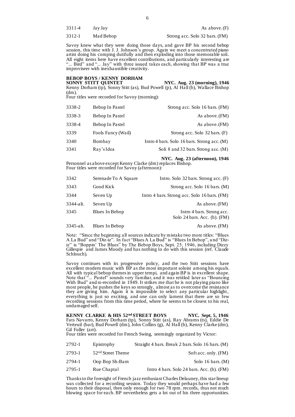| 3311-4 | Jay Jay   | As above. $(F)$                |
|--------|-----------|--------------------------------|
| 3312-1 | Mad Bebop | Strong acc. Solo 32 bars. (FM) |

Savoy knew what they were doing those days, and gave BP his second bebop session, this time with J. J. Johnson's group. Again we meet a concentrated piano artist doing his comping dutifully and then exploding into those memorable soli. All eight items here have excellent contributions, and particularly interesting are "... Bird" and "... Jay" with three issued takes each, showing that BP was a true improviseer with inexhaustible creativity.

## **BEBOP BOYS / KENNY DORHAM**

**SONNY STITT QUINTET** NYC. Aug. 23 (morning), 1946 SONNY STITT QUINTET NYC. Aug. 23 (morning), 1946<br>Kenny Dorham (tp), Sonny Stitt (as), Bud Powell (p), Al Hall (b), Wallace Bishop (dm).

Four titles were recorded for Savoy (morning):

| 3338-2 | Bebop In Pastel    | Strong acc. Solo 16 bars. (FM)                |
|--------|--------------------|-----------------------------------------------|
| 3338-3 | Bebop In Pastel    | As above. (FM)                                |
| 3338-4 | Bebop In Pastel    | As above. (FM)                                |
| 3339   | Fools Fancy (Wail) | Strong acc. Solo 32 bars. (F)                 |
| 3340   | Bombay             | Intro 4 bars. Solo 16 bars. Strong acc. $(M)$ |
| 3341   | Ray's Idea         | Soli 8 and 32 bars. Strong acc. (M)           |

#### **NYC. Aug. 23 (afternoon), 1946**

Personnel as above except Kenny Clarke (dm) replaces Bishop. Four titles were recorded for Savoy (afternoon):

| 3342      | Serenade To A Square | Intro. Solo $32$ bars. Strong acc. $(F)$                  |
|-----------|----------------------|-----------------------------------------------------------|
| 3343      | Good Kick            | Strong acc. Solo 16 bars. (M)                             |
| 3344      | Seven Up             | Intro 4 bars. Strong acc. Solo 16 bars. (FM)              |
| 3344-alt. | Seven Up             | As above. (FM)                                            |
| 3345      | Blues In Bebop       | Intro 4 bars. Strong acc.<br>Solo 24 bars. Acc. (b). (FM) |
| 3345-alt. | Blues In Bebop       | As above. (FM)                                            |

Note: "Since the beginning all sources indicate by mistake two more titles: "Blues A La Bud" and "Diz-iz". In fact "Blues A La Bud" is "Blues In Bebop", a nd "Diziz" is "Boppin' The Blues" by The Bebop Boys, Sept. 25, 1946, including Dizzy Gillespie and James Moody and has nothing to do with this session (ref. Claude Schlouch).

Savoy continues with its progressive policy, and the two Stitt sessions have excellent modern music with BP as the most important soloist among his equals. All with typical bebop themes in upper tempi, and again BP is in excellent shape. Note that "... Pastel" sounds very familiar, and it was retitled later as "Bouncing With Bud" and re-recorded in 1949. It strikes me that he is not playing piano like most people, he pushes the keys so strongly, almost as to overcome the resistance they are giving him. Again it is impossible to select any particular highlight, everything is just so exciting, and one can only lament that there are so few recording sessions from this time period, where he seems to be closest to his real, undamaged self.

**KENNY CLARKE & HIS 52nd STREET BOYS NYC. Sept. 5, 1946** Fats Navarro, Kenny Dorham (tp), Sonny Stitt (as), Ray Abrams (ts), Eddie De Verteuil (bar), Bud Powell (dm), John Collins (g), Al Hall (b), Kenny Clarke (dm), Gil Fuller (arr).

Four titles were recorded for French Swing, seemingly organized by Victor:

| 2792-1 | Epistrophy                    | Straight 4 bars. Break 2 bars. Solo 16 bars. (M) |
|--------|-------------------------------|--------------------------------------------------|
| 2793-1 | 52 <sup>nd</sup> Street Theme | Soft acc. only. (FM)                             |
| 2794-1 | Oop Bop Sh-Bam                | Solo 16 bars. $(M)$                              |
| 2795-1 | Rue Chaptal                   | Intro 4 bars. Solo 24 bars. Acc. (b). $(FM)$     |

Thanks to the foresight of French jazz enthusiast Charles Delauney, this star lineup was collected for a recording session. Today they would perhaps have had a few hours to their disposal, then only enough for two 78 rpm. records, thus not much blowing space for each. BP nevertheless gets a lot out of his three opportunities.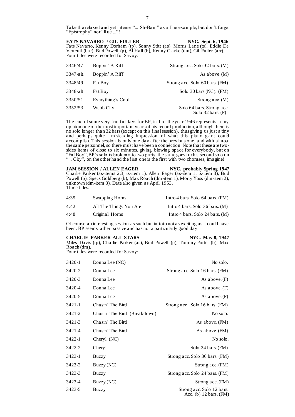Take the relaxed and yet intense "... Sh-Bam" as a fine example, but don't forget "Epistrophy" nor "Rue ..."!

#### **FATS NAVARRO** / GIL FULLER NYC. Sept. 6, 1946

Fats Navarro, Kenny Dorham (tp), Sonny Stitt (as), Morris Lane (ts), Eddie De Verteuil (bar), Bud Powell (p), Al Hall (b), Kenny Clarke (dm), Gil Fuller (arr). Four titles were recorded for Savoy:

| 3346/47   | Boppin' A Riff    | Strong acc. Solo 32 bars. (M)                            |
|-----------|-------------------|----------------------------------------------------------|
| 3347-alt. | Boppin' A Riff    | As above. $(M)$                                          |
| 3348/49   | <b>Fat Boy</b>    | Strong acc. Solo 60 bars. (FM)                           |
| 3348-alt  | Fat Boy           | Solo 30 bars (NC). (FM)                                  |
| 3350/51   | Everything's Cool | Strong acc. $(M)$                                        |
| 3352/53   | Webb City         | Solo 64 bars. Strong acc.<br>Solo $32 \text{ bars.}$ (F) |

The end of some very fruitful days for BP, in fact the year 1946 represents in my opinion one of the most important years of his record production, although there is no solo longer than 32 bars(except on this final session), thus giving us just a tiny and perhaps quite misleading impression of what this piano giant could accomplish. This session is only one day after the previous one, and with almost the same personnel, so there must have been a connection. Note that these are twosides items of close to six minutes, giving blowing space for everybody, but on "Fat Boy", BP's solo is broken into two parts, the same goes for his second solo on "... City", on the other hand the first one is the first with two choruses, imagine!

JAM SESSION / ALLEN EAGER NYC. probably Spring 1947 Charlie Parker (as-items 2,3, ts-item 1), Allen Eager (as-item 1, ts-item 3), Bud Powell (p), Specs Goldberg (b), Max Roach (dm-item 1), Morty Yoss (dm-item 2), unknown (dm-item 3). Date also given as April 1953. Three titles:

| 4:35 | Swapping Horns         | Intro 4 bars. Solo 64 bars. (FM)  |
|------|------------------------|-----------------------------------|
| 4:42 | All The Things You Are | Intro 4 bars. Solo $36$ bars. (M) |
| 4:48 | Original Horns         | Intro 4 bars. Solo 24 bars. $(M)$ |

Of course an interesting session as such but in toto not as exciting as it could have been. BP seems rather passive and has not a particularly good day.

#### **CHARLIE PARKER ALL STARS NYC. May 8, 1947**

Miles Davis (tp), Charlie Parker (as), Bud Powell (p), Tommy Potter (b), Max Roach (dm).

Four titles were recorded for Savoy:

| 3420-1 | Donna Lee (NC)               | No solo.                                                      |
|--------|------------------------------|---------------------------------------------------------------|
| 3420-2 | Donna Lee                    | Strong acc. Solo 16 bars. (FM)                                |
| 3420-3 | Donna Lee                    | As above. $(F)$                                               |
| 3420-4 | Donna Lee                    | As above. $(F)$                                               |
| 3420-5 | Donna Lee                    | As above. $(F)$                                               |
| 3421-1 | Chasin' The Bird             | Strong acc. Solo 16 bars. (FM)                                |
| 3421-2 | Chasin' The Bird (Breakdown) | No solo.                                                      |
| 3421-3 | Chasin' The Bird             | As above. (FM)                                                |
| 3421-4 | Chasin' The Bird             | As above. (FM)                                                |
| 3422-1 | Cheryl (NC)                  | No solo.                                                      |
| 3422-2 | Cheryl                       | Solo 24 bars. (FM)                                            |
| 3423-1 | Buzzy                        | Strong acc. Solo 36 bars. (FM)                                |
| 3423-2 | Buzzy (NC)                   | Strong acc. (FM)                                              |
| 3423-3 | Buzzy                        | Strong acc. Solo 24 bars. (FM)                                |
| 3423-4 | Buzzy (NC)                   | Strong acc. (FM)                                              |
| 3423-5 | Buzzy                        | Strong acc. Solo 12 bars.<br>Acc. (b) $12 \text{ bars.}$ (FM) |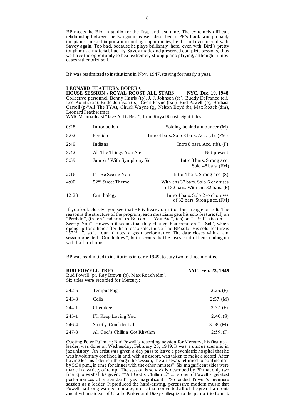BP meets the Bird in studio for the first, and last, time. The extremely difficult relationship between the two giants is well described in PP's book, and probably the pianist missed important recording opportunities, he did not even record with Savoy again. Too bad, because he plays brilliantly here, even with Bird's pretty tough music material. Luckily Savoy made and preserved complete sessions, thus we have the opportunity to hear extremely strong piano playing, although in most cases rather brief soli.

BP was readmitted to institutions in Nov. 1947, staying for nearly a year.

#### **LEONARD FEATHER's BOPERA**

**HOUSE SESSION / ROYAL ROOST ALL STARS NYC. Dec. 19, 1948** Collective personnel: Benny Harris (tp), J. J. Johnson (tb), Buddy DeFranco (cl), Lee Konitz (as), Budd Johnson (ts), Cecil Payne (bar), Bud Powell (p), Barbara Carroll (p-"All The TYA), Chuck Wayne (g), Nelson Boyd (b), Max Roach (dm), Leonard Feather (mc).

WMGM broadcast "Jazz At Its Best", from Royal Roost, eight titles:

| 0:28  | Introduction                  | Soloing behind announcer. (M)                                              |
|-------|-------------------------------|----------------------------------------------------------------------------|
| 5:02  | Perdido                       | Intro 4 bars. Solo 8 bars. Acc. (cl). $(FM)$                               |
| 2:49  | Indiana                       | Intro 8 bars. Acc. $(tb)$ . $(F)$                                          |
| 3:42  | All The Things You Are        | Not present.                                                               |
| 5:39  | Jumpin' With Symphony Sid     | Intro 8 bars. Strong acc.<br>Solo 48 bars. (FM)                            |
| 2:16  | I'll Be Seeing You            | Intro 4 bars. Strong acc. $(S)$                                            |
| 4:00  | 52 <sup>nd</sup> Street Theme | With ens 32 bars. Solo 6 choruses<br>of 32 bars. With ens $32$ bars. (F)   |
| 12:23 | Ornithology                   | Intro 4 bars. Solo $2\frac{1}{2}$ choruses<br>of 32 bars. Strong acc. (FM) |

If you look closely, you see that BP is heavy on intros but meagre on soli. The reason is the structure of the program; each musicians gets his solo feature; (cl) on "Perdido", (tb) on "Indiana", (p-BC) on "... You Are", (as) on "... Sid", (ts) on "... Seeing You". However it seems that they change their mind on "... Sid", which opens up for others after the altosax solo, thus a fine BP solo. His solo feature is " $52<sup>nd</sup>$ ...", solid four minutes, a great performance! The date closes with a jam session oriented "Ornithology", but it seems that he loses control here, ending up with half-a-chorus.

BP was readmitted to institutions in early 1949, to stay two to three months.

|           | <b>BUD POWELL TRIO</b><br>Bud Powell (p), Ray Brown (b), Max Roach (dm).<br>Six titles were recorded for Mercury: | NYC. Feb. 23, 1949 |  |
|-----------|-------------------------------------------------------------------------------------------------------------------|--------------------|--|
| $242 - 5$ | Tempus Fugit                                                                                                      | 2:25(F)            |  |
| $243 - 3$ | Celia                                                                                                             | 2:57. (M)          |  |
| $244-1$   | Cherokee                                                                                                          | 3:37(F)            |  |
| $245-1$   | I'll Keep Loving You                                                                                              | 2:40(S)            |  |
| 246-4     | Strictly Confidential                                                                                             | 3:08.(M)           |  |
|           |                                                                                                                   |                    |  |

247-3 All God's Chillun Got Rhythm 2:59. (F)

Quoting Peter Pullman: Bud Powell's recording session for Mercury, his first as a leader, was done on Wednesday, February 23, 1949. It was a unique scenario in jazz history: An artist was given a day pass to leave a psychiatric hospital that he was involuntary confined in and, with an escort, was taken to make a record. After having led his sidemen through the session, the artistwas returned to confinement by 5:30 p.m., in time for dinner with the other inmates". Six magnificent sides were made in a variety of tempi. The session is so vividly described by PP that only two final quotes shall be given: ""All God's Chillun ..." ... is one of Powell's greatest performances of a standard", yes magnificent! "So ended Powell's premiere session as a leader. It produced the hard-driving, percussive modern music that Powell had long wanted to make; music that converted all of the great harmonic and rhythmic ideas of Charlie Parker and Dizzy Gillespie to the piano-trio format.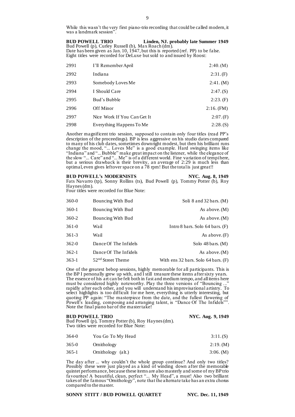While this wasn't the very first piano-trio recording that could be called modern, it was a landmark session".

**BUD POWELL TRIO Linden, NJ. probably late Summer 1949** Bud Powell (p), Curley Russell (b), Max Roach (dm). Date has been given as Jan. 10, 1947, but this is reported (ref. PP) to be false. Eight titles were recorded for DeLuxe but sold to and issued by Roost:

| 2991 | I'll Remember April         | 2:40.(M)     |
|------|-----------------------------|--------------|
| 2992 | Indiana                     | 2:31(F)      |
| 2993 | Somebody Loves Me           | 2:41. (M)    |
| 2994 | I Should Care               | 2:47(S)      |
| 2995 | Bud's Bubble                | 2:23(F)      |
| 2996 | Off Minor                   | $2:16.$ (FM) |
| 2997 | Nice Work If You Can Get It | 2:07(F)      |
| 2998 | Everything Happens To Me    | 2:28(S)      |

Another magnificent trio session, supposed to contain only four titles (read PP's description of the proceedings). BP is less aggressive on his studio dates compared to many of his club dates, sometimes downright modest, but then his brilliant runs change the mood, "... Loves Me" is a good example. Hard swinging items like "Indiana" and "... Bubble" make great impact on the listener, while the elegance of the slow "... Care" and "... Me" is of a different world. Fine variation of tempi here, but a serious drawback is their brevity, an average of 2:29 is much less than optimal, even gives leftover space on a  $\frac{78}{9}$  rpm! But the total is just great!!

#### **BUD POWELL's MODERNISTS NYC. Aug. 8, 1949**

Fats Navarro (tp), Sonny Rollins (ts), Bud Powell (p), Tommy Potter (b), Roy Haynes (dm).

Four titles were recorded for Blue Note:

| Soli $8$ and $32$ bars. (M)             | Bouncing With Bud             | 360-0     |
|-----------------------------------------|-------------------------------|-----------|
| As above. $(M)$                         | Bouncing With Bud             | 360-1     |
| As above. $(M)$                         | Bouncing With Bud             | 360-2     |
| Intro 8 bars. Solo $64$ bars. $(F)$     | Wail                          | $361 - 0$ |
| As above. $(F)$                         | Wail                          | $361-3$   |
| Solo $48 \text{ bars.}$ (M)             | Dance Of The Infidels         | $362 - 0$ |
| As above. $(M)$                         | Dance Of The Infidels         | $362-1$   |
| With ens $32$ bars. Solo $64$ bars. (F) | 52 <sup>nd</sup> Street Theme | $363-1$   |

One of the greatest bebop sessions, highly memorable for all participants. This is the BP I personally grew up with, and I still treasure these items after sixty years. The essence of his art can be felt both in fast and medium tempo, and all items here must be considered highly noteworthy. Play the three versions of "Bouncing ..." rapidly after each other, and you will understand his improvisational artistry. To select highlights is too difficult for me here, everything is utterly interesting, but quoting PP again: "The masterpiece from the date, and the fullest flowering of Powell's leading, composing and arranging talent, is "Dance Of The Infidels"". Note the final piano bar of the master take!

#### **BUD POWELL TRIO** NYC. Aug. 9, 1949

Bud Powell (p), Tommy Potter (b), Roy Haynes (dm). Two titles were recorded for Blue Note:

| $364 - 0$ | You Go To My Head  | 3:11(S)   |
|-----------|--------------------|-----------|
| $365-0$   | Ornithology        | 2:19. (M) |
| $365-1$   | Ornithology (alt.) | 3:06. (M) |

The day after ... why couldn't the whole group continue? And only two titles? Possibly these were just played as a kind of winding down after the memorable quintet performance, because these items are also masterly and some of my BP trio favourites! A beautiful, clean, perfect "... My Head", a must! Also two brilliant takes of the famous "Ornithology", note that the alternate take has an extra chorus compared to the master.

#### **SONNY STITT / BUD POWELL QUARTET NYC. Dec. 11, 1949**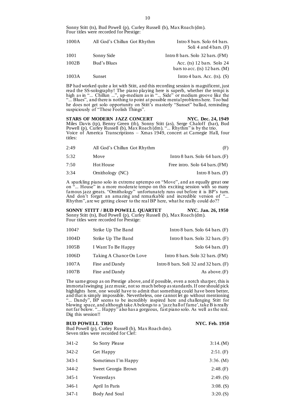Sonny Stitt (ts), Bud Powell (p), Curley Russell (b), Max Roach (dm). Four titles were recorded for Prestige:

| 1000A | All God's Chillun Got Rhythm | Intro 8 bars. Solo 64 bars.<br>Soli 4 and 4 bars. $(F)$            |
|-------|------------------------------|--------------------------------------------------------------------|
| 1001  | Sonny Side                   | Intro 8 bars. Solo $32$ bars. (FM)                                 |
| 1002B | Bud's Blues                  | Acc. $(ts)$ 12 bars. Solo 24<br>bars to acc. $(ts)$ 12 bars. $(M)$ |
| 1003A | Sunset                       | Intro 4 bars. Acc. $(ts)$ . $(S)$                                  |

BP had worked quite a lot with Stitt, and this recording session is magnificent, just read the SS-solography! The piano playing here is superb, whether the tempi is high as in "... Chillun ...", up-medium as in "... Side" or medium groove like the "... Blues", and there is nothing to point at possible mental problems here. Too bad he does not get solo opportunity on Stitt's masterly "Sunset" ballad, reminding suspiciously of "These Foolish Things".

STARS OF MODERN JAZZ CONCERT NYC. Dec. 24, 1949 Miles Davis (tp), Benny Green (tb), Sonny Stitt (as), Serge Chaloff (bar), Bud Powell (p), Curley Russell (b), Max Roach (dm). "... Rhythm" is by the trio. Voice of America Transcriptions – Xmas 1949, concert at Carnegie Hall, four titles:

| (F)                                 | All God's Chillun Got Rhythm | 2:49 |
|-------------------------------------|------------------------------|------|
| Intro 8 bars. Solo $64$ bars. $(F)$ | Move                         | 5:32 |
| Free intro. Solo 64 bars. (FM)      | Hot House                    | 7:50 |
| Intro $8 \text{ bars.}$ (F)         | Ornithology (NC)             | 3:34 |

A sparkling piano solo in extreme uptempo on "Move", and an equally great one on "... House" in a more moderate tempo on this exciting session with so many famous jazz greats. "Ornithology" unfortunately runs out before it is BP's turn. And don't forget an amazing and remarkable and incredible version of "... Rhythm", are we getting closer to the real BP here, what he really could do??

**SONNY STITT / BUD POWELL QUARTET NYC. Jan. 26, 1950** Sonny Stitt (ts), Bud Powell (p), Curley Russell (b), Max Roach (dm). Four titles were recorded for Prestige:

| 1004? | Strike Up The Band      | Intro 8 bars. Solo $64$ bars. (F)          |
|-------|-------------------------|--------------------------------------------|
| 1004D | Strike Up The Band      | Intro 8 bars. Solo $32$ bars. $(F)$        |
| 1005B | I Want To Be Happy      | Solo $64 \text{ bars.}$ (F)                |
| 1006D | Taking A Chance On Love | Intro 8 bars. Solo 32 bars. (FM)           |
| 1007A | Fine and Dandy          | Intro 8 bars. Soli $32$ and $32$ bars. (F) |
| 1007B | Fine and Dandy          | As above. $(F)$                            |

The same group as on Prestige above, and if possible, even a notch sharper, this is immortal swinging jazz music, not so much bebop as standards. If one should pick highlights here, one would have to admit that something could have been better, and that is simply impossible. Nevertheless, one cannot let go without mentioning "... Dandy", BP seems to be incredibly inspired here and challenging Stitt for blowing space, and although take A belongs to a 'jazz hall of fame', take B is really not far below. "... Happy" also has a gorgeous, fast piano solo. As well as the rest. Dig this session!!

| <b>BUD POWELL TRIO</b><br>Bud Powell (p), Curley Russell (b), Max Roachdm).<br>Seven titles were recorded for Clef: |                     | <b>NYC.</b> Feb. 1950 |
|---------------------------------------------------------------------------------------------------------------------|---------------------|-----------------------|
| $341 - 2$                                                                                                           | So Sorry Please     | 3:14.(M)              |
| $342 - 2$                                                                                                           | Get Happy           | 2:51.(F)              |
| $343-1$                                                                                                             | Sometimes I'm Happy | 3:36. (M)             |
| 344-2                                                                                                               | Sweet Georgia Brown | 2:48(F)               |
| $345-1$                                                                                                             | Yesterdays          | 2:49(S)               |
| 346-1                                                                                                               | April In Paris      | $3:08.$ (S)           |
| $347-1$                                                                                                             | Body And Soul       | 3:20(S)               |
|                                                                                                                     |                     |                       |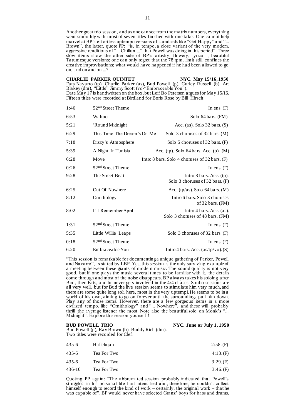Another great trio session, and as one can see from the matrix numbers, everything went smoothly with most of seven titles finished with one take. One cannot help marvel at BP's effortless uptempo versions of standards like "Get Happy" and "... Brown", the latter, quote PP: "is, in tempo, a close variant of the very modem, aggressive renditions of "... Chillun ..." that Powell was doing in this period". Three slow items show the other side of BP's artistry; flowery, lyrical , beautiful Tatumesque versions; one can only regret that the 78 rpm. limit still confines the creative improvisations; what would have happened if he had been allowed to go on, and on and on ...?

### **CHARLIE PARKER QUINTET NYC. May 15/16, 1950**

Fats Navarro (tp), Charlie Parker (as), Bud Powell (p), Curley Russell (b), Art Blakey (dm), "Little" Jimmy Scott (vo-"Embraceable You"). Date May 17 is handwritten on the box, but Leif Bo Petersen argues for May 15/16. Fifteen titles were recorded at Birdland for Boris Rose by Bill Hirsch:

| 52 <sup>nd</sup> Street Theme | In ens. $(F)$                                                 |
|-------------------------------|---------------------------------------------------------------|
| Wahoo                         | Solo 64 bars. (FM)                                            |
| 'Round Midnight               | Acc. (as). Solo $32 \text{ bars.}$ (S)                        |
| This Time The Dream's On Me   | Solo 3 choruses of 32 bars. (M)                               |
| Dizzy's Atmosphere            | Solo 5 choruses of 32 bars. (F)                               |
| A Night In Tunisia            | Acc. (tp). Solo $64 \text{ bars.}$ Acc. (b). (M)              |
| Move                          | Intro 8 bars. Solo 4 choruses of 32 bars. (F)                 |
| 52 <sup>nd</sup> Street Theme | In ens. $(F)$                                                 |
| The Street Beat               | Intro $8$ bars. Acc. (tp).<br>Solo 3 choruses of 32 bars. (F) |
| Out Of Nowhere                | Acc. (tp/as). Solo $64$ bars. (M)                             |
| Ornithology                   | Intro 6 bars. Solo 3 choruses<br>of 32 bars. (FM)             |
| I'll Remember April           | Intro 4 bars. Acc. (as).<br>Solo 3 choruses of 48 bars. (FM)  |
| 52 <sup>nd</sup> Street Theme | In ens. $(F)$                                                 |
| Little Willie Leaps           | Solo 3 choruses of 32 bars. (F)                               |
| 52 <sup>nd</sup> Street Theme | In ens. $(F)$                                                 |
| Embraceable You               | Intro 4 bars. Acc. $(a\frac{s}{tp}/vo)$ . (S)                 |
|                               |                                                               |

"This session is remarkable for documenting a unique gathering of Parker, Powell and Navarro", as stated by LBP. Yes, this session is the only surviving example of a meeting between these giants of modern music. The sound quality is not very good, but if one plays the music several times to be familiar with it, the details come through and most of the noise disappears. BP always takes his soloing after Bird, then Fats, and he never gets involved in the 4/4 chases. Studio sessions are all very well, but for Bud the live session seems to stimulate him very much, and there are some quite long soli here, most in the very uptempi. He seems to be in a world of his own, aiming to go on forever until the surroundings pull him down. Play any of those items. However, there are a few gorgeous items in a more civilized tempo, like "Ornithology" and "... Nowhere", and these will probably thrill the average listener the most. Note also the beautiful solo on Monk's "... Midnight". Explore this session yourself!!

**BUD POWELL TRIO** NYC. June or July 1, 1950

Bud Powell (p), Ray Brown (b), Buddy Rich (dm). Two titles were recorded for Clef:

| 435-6  | Hallelujah  | 2:58(F) |
|--------|-------------|---------|
| 435-5  | Tea For Two | 4:13(F) |
| 435-6  | Tea For Two | 3:29(F) |
| 436-10 | Tea For Two | 3:46(F) |

Quoting PP again: "The abbreviated session probably indicated that Powell's struggles in his personal life had intensified and, therefore, he couldn't collect himself enough to record the kind of work – certainly, the original work – that he was capable of". BP would never have selected Granz' boys for bass and drums,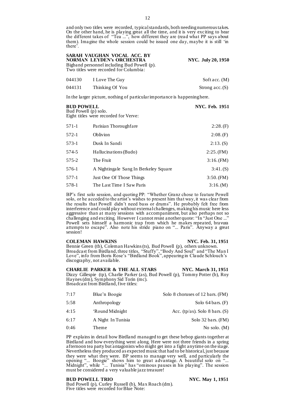and only two titles were recorded, typical standards, both needing numerous takes. On the other hand, he is playing great all the time, and it is very exciting to hear the different takes of "Tea ...", how different they are (read what PP says about them). Imagine the whole session could be issued one day, maybe it is still 'in there'.

| SARAH VAUGHAN VOCAL ACC. BY<br><b>NORMAN LEYDEN's ORCHESTRA</b><br>Bigband personnel including Bud Powell (p).<br>Two titles were recorded for Columbia: |                       | NYC. July 20, 1950 |
|----------------------------------------------------------------------------------------------------------------------------------------------------------|-----------------------|--------------------|
|                                                                                                                                                          | 044130 I Love The Guy | Soft acc. $(M)$    |

044131 Thinking Of You Strong acc. (S)

In the larger picture, nothing of particular importance is happening here.

# **BUD POWELL NYC. Feb. 1951** Bud Powell (p) solo. Eight titles were recorded for Verve: 571-1 Parisian Thoroughfare 2:28. (F) 572-1 **Oblivion** 2:08. (F) 573-1 Dusk In Sandi 2:13. (S) 574-5 Hallucinations (Budo) 2:25. (FM) 575-2 The Fruit 3:16. (FM) 576-1 A Nightingale Sang In Berkeley Square 3:41. (S)

577-1 Just One Of Those Things 3:50. (FM) 578-1 The Last Time I Saw Paris 3:16. (M)

BP's first solo session, and quoting PP: "Whether Granz chose to feature Powell solo, or he acceded to the artist's wishes to present him that way, it was clear from the results that Powell didn't need bass or drums". He probably felt free from interference and could play without external challenges, making his music here less aggressive than at many sessions with accompaniment, but also perhaps not so challenging and exciting. However I cannot resist another quote: "In "Just One ..." Powell sets himself a harmonic trap from which he makes repeated, bravura attempts to escape". Also note his stride piano on "... Paris". Anyway a great session!

### **COLEMAN HAWKINS NYC. Feb. 31, 1951**

Bennie Green (tb), Coleman Hawkins (ts), Bud Powell (p), others unknown. Broadcast from Birdland, three titles, "Stuffy", "Body And Soul" and "The Man I Love", info from Boris Rose's "Birdland Book", appearing in Claude Schlouch's discography, not available.

**CHARLIE PARKER & THE ALL STARS NYC. March 31, 1951** Dizzy Gillespie (tp), Charlie Parker (as), Bud Powell (p), Tommy Potter (b), Roy Haynes (dm), Symphony Sid Torin (mc). Broadcast from Birdland, five titles:

| 7:17 | Blue'n Boogie      | Solo 8 choruses of 12 bars. (FM) |
|------|--------------------|----------------------------------|
| 5:58 | Anthropology       | Solo $64 \text{ bars.}$ (F)      |
| 4:15 | 'Round Midnight    | Acc. (tp/as). Solo 8 bars. $(S)$ |
| 6:17 | A Night In Tunisia | Solo 32 bars. (FM)               |
| 0:46 | Theme              | No solo. $(M)$                   |

PP explains in detail how Birdland managed to get these bebop giants together at Birdland and how everything went along. Here were not three friends in a spring afternoon tea party but antagonists who might get into a fight anytime on the stage. Nevertheless they produced as expected music that had to be historical, just because they were what they were. BP seems to manage very well, and particularly the opening "... Boogie" shows him to great advantage. A beautiful solo on "... Midnight", while "... Tunisia" has "ominous pauses in his playing". The session must be considered a very valuable jazz treasure!

#### **BUD POWELL TRIO** NYC. May 1, 1951

Bud Powell (p), Curley Russell (b), Max Roach (dm). Five titles were recorded for Blue Note: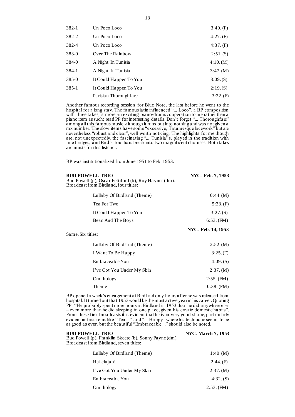| $382-1$   | Un Poco Loco           | 3:40(F)   |
|-----------|------------------------|-----------|
| 382-2     | Un Poco Loco           | 4:27(F)   |
| 382-4     | Un Poco Loco           | 4:37(F)   |
| 383-0     | Over The Rainbow       | 2:51(S)   |
| 384-0     | A Night In Tunisia     | 4:10.(M)  |
| 384-1     | A Night In Tunisia     | 3:47. (M) |
| $385 - 0$ | It Could Happen To You | 3:09(S)   |
| $385-1$   | It Could Happen To You | 2:19(S)   |
|           | Parisian Thoroughfare  | 3:22(F)   |

Another famous recording session for Blue Note, the last before he went to the hospital for a long stay. The famous latin influenced "... Loco", a BP composition with three takes, is more an exciting piano/drums cooperation to me rather than a piano item as such; read PP for interesting details. Don't forget "... Thoroughfare" among all this famous music, although it runs out into nothing and was not given a mx number. The slow items have some "excessive, Tatumesque lacework" but are nevertheless "robust and clear", well worth noticing. The highlights for me though are, not unexpectedly, the fascinating "... Tunisia"s, played in the tradition with fine bridges, and Bird's four bars break into two magnificent choruses. Both takes are musts for this listener.

BP was institutionalized from June 1951 to Feb. 1953.

| <b>BUD POWELL TRIO</b><br>Bud Powell (p), Oscar Pettiford (b), Roy Haynes (dm).<br>Broadcast from Birdland, four titles: | NYC. Feb. 7, 1953  |
|--------------------------------------------------------------------------------------------------------------------------|--------------------|
| Lullaby Of Birdland (Theme)                                                                                              | 0:44. (M)          |
| Tea For Two                                                                                                              | 5:33(F)            |
| It Could Happen To You                                                                                                   | 3:27(S)            |
| Bean And The Boys                                                                                                        | $6:53.$ (FM)       |
| Same. Six titles:                                                                                                        | NYC. Feb. 14, 1953 |
| Lullaby Of Birdland (Theme)                                                                                              | 2:52.(M)           |
| I Want To Be Happy                                                                                                       | 3:25(F)            |
| Embraceable You                                                                                                          | $4:09.$ (S)        |
| I've Got You Under My Skin                                                                                               | 2:37. (M)          |
| Ornithology                                                                                                              | $2:55.$ (FM)       |
| Theme                                                                                                                    | $0:38.$ (FM)       |

BP opened a week's engagement at Birdland only hours after he was released from hospital. It turned out that 1953 would be the most active year in his career. Quoting PP: "He probably spent more hours at Birdland in 1953 than he did anywhere else – even more than he did sleeping in one place, given his erratic domestic habits". From these first broadcasts it is evident that he is in very good shape, particularly evident in fast items like "Tea ..." and "... Happy" where his technique seems to be as good as ever, but the beautiful "Embraceable ..." should also be noted.

**BUD POWELL TRIO** NYC. March 7, 1953

Bud Powell (p), Franklin Skeete (b), Sonny Payne (dm). Broadcast from Birdland, seven titles:

| Lullaby Of Birdland (Theme) | 1:40.(M)    |
|-----------------------------|-------------|
| Hallelujah!                 | 2:44(F)     |
| I've Got You Under My Skin  | 2:37. (M)   |
| Embraceable You             | $4:32.$ (S) |
| Ornithology                 | 2:53. (FM)  |

13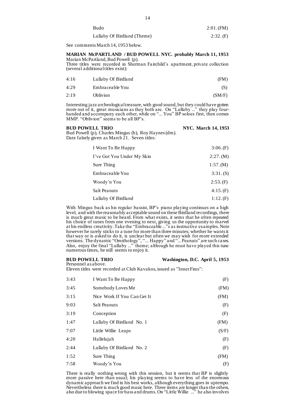| Budo                        | $2:01.$ (FM) |
|-----------------------------|--------------|
| Lullaby Of Birdland (Theme) | 2:32.(F)     |

See comments March 14, 1953 below.

#### **MARIAN McPARTLAND / BUD POWELL NYC. probably March 11, 1953** Marian McPartland, Bud Powell (p).

Three titles were recorded in Sherman Fairchild's apartment, private collection (several additional titles exist):

| 4:16 | Lullaby Of Birdland | (FM)   |
|------|---------------------|--------|
| 4:29 | Embraceable You     | (S)    |
| 2:19 | <b>Oblivion</b>     | (SM/F) |

Interesting jazz archeological treasure, with good sound, but they could have gotten more out of it, great musicians as they both are. On "Lullaby ..." they play fourhanded and accompany each other, while on "... You" BP soloes first, then comes MMP. "Oblivion" seems to be all BP's.

| <b>BUD POWELL TRIO</b>                               | <b>NYC.</b> March 14, 1953 |
|------------------------------------------------------|----------------------------|
| Bud Powell (p), Charles Mingus (b), Roy Haynes (dm). |                            |
| Date falsely given as March 21. Seven titles:        |                            |

| I Want To Be Happy         | 3:06(F)   |
|----------------------------|-----------|
| I've Got You Under My Skin | 2:27. (M) |
| Sure Thing                 | 1:57.(M)  |
| Embraceable You            | 3:31.(S)  |
| Woody'n You                | 2:53(F)   |
| Salt Peanuts               | 4:15(F)   |
| Lullaby Of Birdland        | 1:12(F)   |

With Mingus back as his regular bassist, BP's piano playing continues on a high level, and with the reasonably acceptable sound on these Birdland recordings, there is much great music to be heard. From what exists, it sems that he often repeated his choice of tunes from one evening to next, giving us the opportunity to marvel at his endless creativity. Take the "Embraceable ..."s as instructive examples. Note however he rarely sticks to a tune for more than three minutes; whether he wants it that way or is asked to do it, is unclear but often we may wish for more extended versions. The dynamic "Ornithology", "... Happy" and "... Peanuts" are such cases. Also, enjoy the final "Lullaby ..." theme; although he must have played this tune numerous times, he still seems to enjoy it.

#### **BUD POWELL TRIO Washington, D.C. April 5, 1953** Personnel as above.

Eleven titles were recorded at Club Kavakos, issued as "Inner Fires":

| 3:43 | I Want To Be Happy          | (F)   |
|------|-----------------------------|-------|
| 3:45 | Somebody Loves Me           | (FM)  |
| 3:15 | Nice Work If You Can Get It | (FM)  |
| 9:03 | Salt Peanuts                | (F)   |
| 3:19 | Conception                  | (F)   |
| 1:47 | Lullaby Of Birdland No. 1   | (FM)  |
| 7:07 | Little Willie Leaps         | (S/F) |
| 4:20 | Hallelujah                  | (F)   |
| 2:44 | Lullaby Of Birdland No. 2   | (F)   |
| 1:52 | Sure Thing                  | (FM)  |
| 7:58 | Woody'n You                 | (F)   |

There is really nothing wrong with this session, but it seems that BP is slightly more passive here than usual; his playing seems to have less of the enormous dynamic approach we find in his best works, although everything goes in uptempo. Nevertheless there is much good music here. Three items are longer than the others, also due to blowing space for bass and drums. On "Little Willie ..." he also involves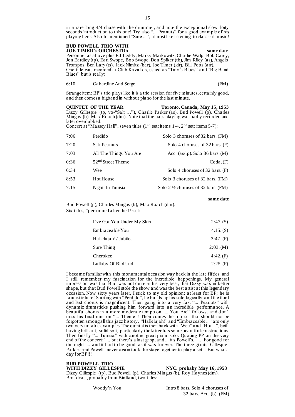in a rare long 4/4 chase with the drummer, and note the exceptional slow forty seconds introduction to this one! Try also "... Peanuts" for a good example of his playing here. Also to mentioned "Sure ...", almost like listening to classical music!

### **BUD POWELL TRIO WITH JOE TIMER's ORCHESTRA same date**

Personnel as above plus Ed Leddy, Marky Markowitz, Charlie Walp, Bob Carey, Jon Eardley (tp), Earl Swope, Bob Swope, Don Spiker (tb), Jim Riley (as), Angelo Trompos, Ben Lary (ts), Jack Nimitz (bar), Joe Timer (ldr), Bill Potts (arr). One title was recorded at Club Kavakos, issued as "Tiny's Blues" and "Big Band Blues" but is really:

6:10 Gabardine And Serge (FM)

Strange item; BP's trio plays like it is a trio session for five minutes, certainly good, and then comes a bigband in without piano for the last minute.

**OUINTET OF THE YEAR Toronto, Canada, May 15, 1953** Dizzy Gillespie (tp, vo-"Salt …"), Charlie Parker (as), Bud Powell (p), Charles Mingus (b),  $Max \angle R$  oach (dm). Note that the bass playing was badly recorded and later overdubbed.

Concert at "Massey Hall", seven titles  $(1<sup>st</sup> set: items 1-4, 2<sup>nd</sup> set: items 5-7):$ 

| 7:06 | Perdido                       | Solo 3 choruses of 32 bars. (FM)               |
|------|-------------------------------|------------------------------------------------|
| 7:20 | Salt Peanuts                  | Solo 4 choruses of 32 bars. (F)                |
| 7:03 | All The Things You Are        | Acc. $(as/tp)$ . Solo 36 bars. $(M)$           |
| 0:36 | 52 <sup>nd</sup> Street Theme | $\text{Coda.}(F)$                              |
| 6:34 | Wee                           | Solo 4 choruses of $32$ bars. (F)              |
| 8:53 | Hot House                     | Solo 3 choruses of 32 bars. (FM)               |
| 7:15 | Night In Tunisia              | Solo 2 $\frac{1}{2}$ choruses of 32 bars. (FM) |

**same date**

Bud Powell (p), Charles Mingus (b), Max Roach (dm). Six titles, "performed after the 1<sup>st</sup> set:

| I've Got You Under My Skin | 2:47(S)     |
|----------------------------|-------------|
| Embraceable You            | $4.15.$ (S) |
| Hallelujah!/Jubilee        | 3:47. (F)   |
| Sure Thing                 | 2:03.(M)    |
| Cherokee                   | 4:42(F)     |
| Lullaby Of Birdland        | 2:25(F)     |

I became familiar with this monumental occasion way back in the late fifties, and I still remember my fascination for the incredible happenings. My general impression was that Bird was not quite at his very best, that Dizzy was in better shape, but that Bud Powell stole the show and was the best artist at this legendary occasion. Now sixty years later, I stick to my old opinion; at least for BP; he is fantastic here! Starting with "Perdido", he builds up his solo logically and the third and last chorus is magnificent. Then going into a very fast "... Peanuts" with dynamic drumsticks pushing him forward into an incredible performance. A beautiful chorus in a more moderate tempo on "... You Are" follows, and don't miss his final runs on "... Theme"! Then comes the trio set that should not be forgotten among all this jazz history. "Hallelujah!" and "Embraceable ..." are only two very notable examples. The quintet is then back with "Wee" and "Hot ...", both having brilliant, solid soli, particularly the latter has some beautiful constructions. Then finally "... Tunisia" with another great piano solo. Quoting PP on the very end of the concert: "... but there's a last gasp, and ... it's Powell's. .... For good for the night .... and it had to be good, as it was forever. The three giants, Gillespie, Parker, and Powell, never again took the stage together to play a set". But what a day for BP!!!

**BUD POWELL TRIO**

WITH DIZZY GILLESPIE NYC. probaby May 16, 1953

Dizzy Gillespie (tp), Bud Powell (p), Charles Mingus (b), Roy Haynes (dm). Broadcast, probably from Birdland, two titles: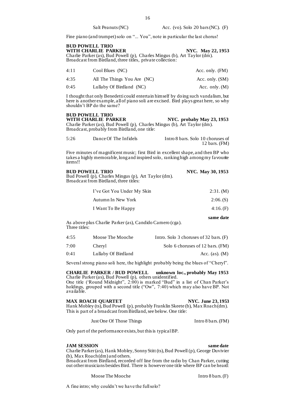Fine piano (and trumpet) solo on "... You", note in particular the last chorus!

| <b>BUD POWELL TRIO</b>                                                                                                                  |                   |
|-----------------------------------------------------------------------------------------------------------------------------------------|-------------------|
| WITH CHARLIE PARKER                                                                                                                     | NYC. May 22, 1953 |
| Charlie Parker (as), Bud Powell (p), Charles Mingus (b), Art Taylor (dm).<br>Broadcast from Birdland, three titles, private collection: |                   |

| 4:11 | $\text{Cool Blues}(\text{NC})$ | Acc. only. (FM)  |
|------|--------------------------------|------------------|
| 4:35 | All The Things You Are (NC)    | Acc. only. (SM)  |
| 0:45 | Lullaby Of Birdland (NC)       | Acc. only. $(M)$ |

I thought that only Benedetti could entertain himself by doing such vandalism, but here is another example, all of piano soli are excised. Bird plays great here, so why shouldn't BP do the same?

# **BUD POWELL TRIO**

## **NYC. probaby May 23, 1953**

Charlie Parker (as), Bud Powell (p), Charles Mingus (b), Art Taylor (dm). Broadcast, probably from Birdland, one title:

| 5:26 | Dance Of The Infidels | Intro 8 bars. Solo 10 choruses of |
|------|-----------------------|-----------------------------------|
|      |                       | 12 bars. $(FM)$                   |

Five minutes of magnificent music; first Bird in excellent shape, and then BP who takes a highly memorable, long and inspired solo, ranking high among my favourite items!!

| <b>BUD POWELL TRIO</b>                               | <b>NYC. May 30, 1953</b> |
|------------------------------------------------------|--------------------------|
| Bud Powell (p), Charles Mingus (p), Art Taylor (dm). |                          |
| Broadcast from Birdland, three titles:               |                          |
|                                                      |                          |

| I've Got You Under My Skin | 2:31. (M) |
|----------------------------|-----------|
| Autumn In New York         | 2:06(S)   |
| I Want To Be Happy         | 4:16(F)   |

As above plus Charlie Parker (as), Candido Camero (cga). Three titles:

| 4:55 | Moose The Mooche    | Intro. Solo 3 choruses of $32$ bars. (F) |
|------|---------------------|------------------------------------------|
| 7:00 | Chervl              | Solo 6 choruses of 12 bars. (FM)         |
| 0:41 | Lullaby Of Birdland | Acc. $(as)$ . $(M)$                      |

Several strong piano soli here, the highlight probably being the blues of "Cheryl".

**CHARLIE PARKER / BUD POWELL unknown loc., probably May 1953** Charlie Parker (as), Bud Powell (p), others unidentified.

One title ('Round Midnight", 2:00) is marked "Bud" in a list of Chan Parker's holdings, grouped with a second title ("Ow", 7:40) which may also have BP. Not available.

#### **MAX ROACH QUARTET** NYC. June 23, 1953

**same date**

Hank Mobley (ts), Bud Powell (p), probably Franklin Skeete (b), Max Roach (dm). This is part of a broadcast from Birdland, see below. One title:

Just One Of Those Things Intro 8 bars. (FM)

Only part of the performance exists, but this is typical BP.

#### **JAM SESSION** same date

Charlie Parker (as), Hank Mobley, Sonny Stitt (ts), Bud Powell (p), George Duvivier (b), Max Roach (dm) and others.

Broadcast from Birdland, recorded off line from the radio by Chan Parker, cutting out other musicians besides Bird. There is however one title where BP can be heard:

Moose The Mooche Intro 8 bars. (F)

A fine intro; why couldn't we have the full solo?